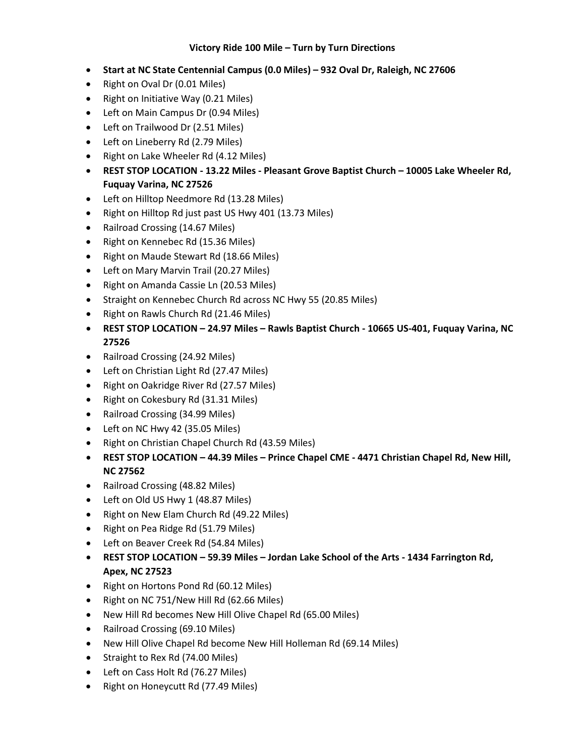## **Victory Ride 100 Mile – Turn by Turn Directions**

- **Start at NC State Centennial Campus (0.0 Miles) – 932 Oval Dr, Raleigh, NC 27606**
- Right on Oval Dr (0.01 Miles)
- Right on Initiative Way (0.21 Miles)
- Left on Main Campus Dr (0.94 Miles)
- Left on Trailwood Dr (2.51 Miles)
- Left on Lineberry Rd (2.79 Miles)
- Right on Lake Wheeler Rd (4.12 Miles)
- **REST STOP LOCATION - 13.22 Miles - Pleasant Grove Baptist Church – 10005 Lake Wheeler Rd, Fuquay Varina, NC 27526**
- Left on Hilltop Needmore Rd (13.28 Miles)
- Right on Hilltop Rd just past US Hwy 401 (13.73 Miles)
- Railroad Crossing (14.67 Miles)
- Right on Kennebec Rd (15.36 Miles)
- Right on Maude Stewart Rd (18.66 Miles)
- Left on Mary Marvin Trail (20.27 Miles)
- Right on Amanda Cassie Ln (20.53 Miles)
- Straight on Kennebec Church Rd across NC Hwy 55 (20.85 Miles)
- Right on Rawls Church Rd (21.46 Miles)
- **REST STOP LOCATION – 24.97 Miles – Rawls Baptist Church - 10665 US-401, Fuquay Varina, NC 27526**
- Railroad Crossing (24.92 Miles)
- Left on Christian Light Rd (27.47 Miles)
- Right on Oakridge River Rd (27.57 Miles)
- Right on Cokesbury Rd (31.31 Miles)
- Railroad Crossing (34.99 Miles)
- Left on NC Hwy 42 (35.05 Miles)
- Right on Christian Chapel Church Rd (43.59 Miles)
- **REST STOP LOCATION – 44.39 Miles – Prince Chapel CME - 4471 Christian Chapel Rd, New Hill, NC 27562**
- Railroad Crossing (48.82 Miles)
- Left on Old US Hwy 1 (48.87 Miles)
- Right on New Elam Church Rd (49.22 Miles)
- Right on Pea Ridge Rd (51.79 Miles)
- Left on Beaver Creek Rd (54.84 Miles)
- **REST STOP LOCATION – 59.39 Miles – Jordan Lake School of the Arts - 1434 Farrington Rd, Apex, NC 27523**
- Right on Hortons Pond Rd (60.12 Miles)
- Right on NC 751/New Hill Rd (62.66 Miles)
- New Hill Rd becomes New Hill Olive Chapel Rd (65.00 Miles)
- Railroad Crossing (69.10 Miles)
- New Hill Olive Chapel Rd become New Hill Holleman Rd (69.14 Miles)
- Straight to Rex Rd (74.00 Miles)
- Left on Cass Holt Rd (76.27 Miles)
- Right on Honeycutt Rd (77.49 Miles)